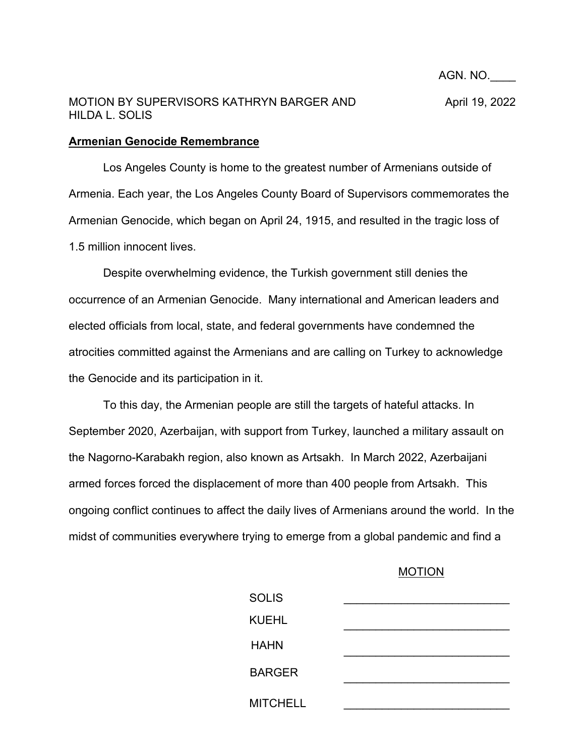## **Armenian Genocide Remembrance**

Los Angeles County is home to the greatest number of Armenians outside of Armenia. Each year, the Los Angeles County Board of Supervisors commemorates the Armenian Genocide, which began on April 24, 1915, and resulted in the tragic loss of 1.5 million innocent lives.

Despite overwhelming evidence, the Turkish government still denies the occurrence of an Armenian Genocide. Many international and American leaders and elected officials from local, state, and federal governments have condemned the atrocities committed against the Armenians and are calling on Turkey to acknowledge the Genocide and its participation in it.

To this day, the Armenian people are still the targets of hateful attacks. In September 2020, Azerbaijan, with support from Turkey, launched a military assault on the Nagorno-Karabakh region, also known as Artsakh. In March 2022, Azerbaijani armed forces forced the displacement of more than 400 people from Artsakh. This ongoing conflict continues to affect the daily lives of Armenians around the world. In the midst of communities everywhere trying to emerge from a global pandemic and find a

## MOTION

AGN. NO.\_\_\_\_

| <b>SOLIS</b>    |  |
|-----------------|--|
| <b>KUEHL</b>    |  |
| <b>HAHN</b>     |  |
| <b>BARGER</b>   |  |
| <b>MITCHELL</b> |  |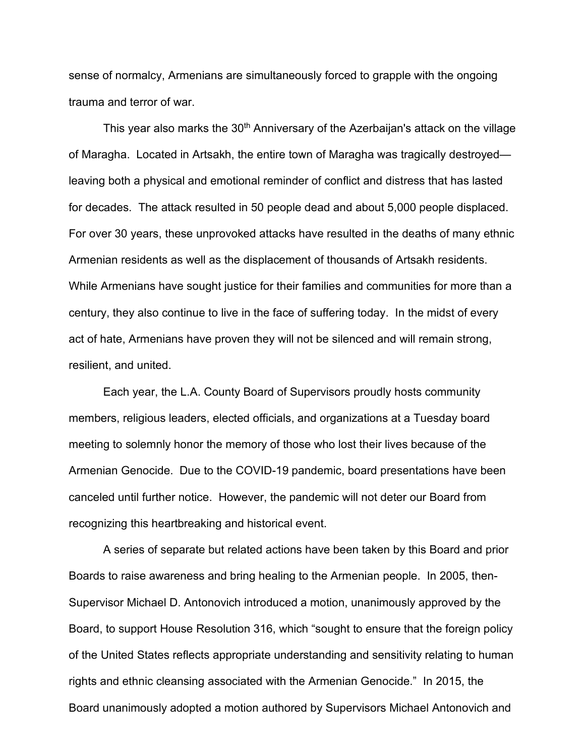sense of normalcy, Armenians are simultaneously forced to grapple with the ongoing trauma and terror of war.

This year also marks the 30<sup>th</sup> Anniversary of the Azerbaijan's attack on the village of Maragha. Located in Artsakh, the entire town of Maragha was tragically destroyed leaving both a physical and emotional reminder of conflict and distress that has lasted for decades. The attack resulted in 50 people dead and about 5,000 people displaced. For over 30 years, these unprovoked attacks have resulted in the deaths of many ethnic Armenian residents as well as the displacement of thousands of Artsakh residents. While Armenians have sought justice for their families and communities for more than a century, they also continue to live in the face of suffering today. In the midst of every act of hate, Armenians have proven they will not be silenced and will remain strong, resilient, and united.

Each year, the L.A. County Board of Supervisors proudly hosts community members, religious leaders, elected officials, and organizations at a Tuesday board meeting to solemnly honor the memory of those who lost their lives because of the Armenian Genocide. Due to the COVID-19 pandemic, board presentations have been canceled until further notice. However, the pandemic will not deter our Board from recognizing this heartbreaking and historical event.

A series of separate but related actions have been taken by this Board and prior Boards to raise awareness and bring healing to the Armenian people. In 2005, then-Supervisor Michael D. Antonovich introduced a motion, unanimously approved by the Board, to support House Resolution 316, which "sought to ensure that the foreign policy of the United States reflects appropriate understanding and sensitivity relating to human rights and ethnic cleansing associated with the Armenian Genocide." In 2015, the Board unanimously adopted a motion authored by Supervisors Michael Antonovich and